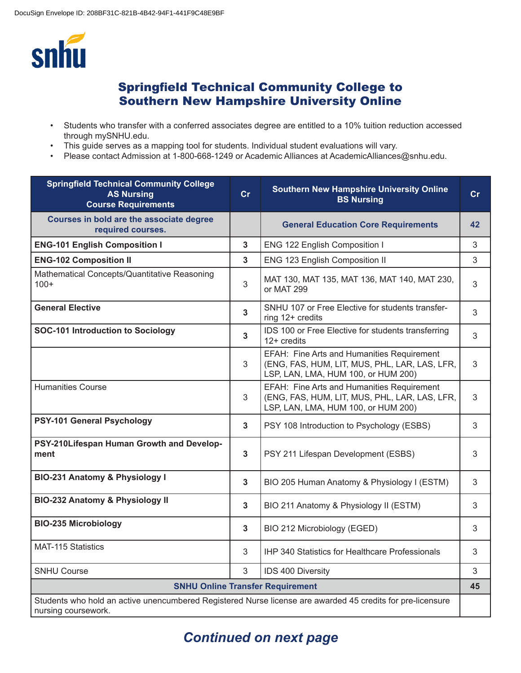

## Springfield Technical Community College to Southern New Hampshire University Online

- Students who transfer with a conferred associates degree are entitled to a 10% tuition reduction accessed through mySNHU.edu.
- This guide serves as a mapping tool for students. Individual student evaluations will vary.
- Please contact Admission at 1-800-668-1249 or Academic Alliances at AcademicAlliances@snhu.edu.

| <b>Springfield Technical Community College</b><br><b>AS Nursing</b><br><b>Course Requirements</b>                                 | cr             | <b>Southern New Hampshire University Online</b><br><b>BS Nursing</b>                                                               | cr |  |
|-----------------------------------------------------------------------------------------------------------------------------------|----------------|------------------------------------------------------------------------------------------------------------------------------------|----|--|
| Courses in bold are the associate degree<br>required courses.                                                                     |                | <b>General Education Core Requirements</b>                                                                                         | 42 |  |
| <b>ENG-101 English Composition I</b>                                                                                              | $\mathbf{3}$   | ENG 122 English Composition I                                                                                                      | 3  |  |
| <b>ENG-102 Composition II</b>                                                                                                     | $\overline{3}$ | ENG 123 English Composition II                                                                                                     | 3  |  |
| Mathematical Concepts/Quantitative Reasoning<br>$100+$                                                                            | 3              | MAT 130, MAT 135, MAT 136, MAT 140, MAT 230,<br>or MAT 299                                                                         | 3  |  |
| <b>General Elective</b>                                                                                                           | $\mathbf{3}$   | SNHU 107 or Free Elective for students transfer-<br>ring 12+ credits                                                               | 3  |  |
| <b>SOC-101 Introduction to Sociology</b>                                                                                          | 3              | IDS 100 or Free Elective for students transferring<br>12+ credits                                                                  | 3  |  |
|                                                                                                                                   | 3              | EFAH: Fine Arts and Humanities Requirement<br>(ENG, FAS, HUM, LIT, MUS, PHL, LAR, LAS, LFR,<br>LSP, LAN, LMA, HUM 100, or HUM 200) | 3  |  |
| <b>Humanities Course</b>                                                                                                          | 3              | EFAH: Fine Arts and Humanities Requirement<br>(ENG, FAS, HUM, LIT, MUS, PHL, LAR, LAS, LFR,<br>LSP, LAN, LMA, HUM 100, or HUM 200) | 3  |  |
| PSY-101 General Psychology                                                                                                        | $\overline{3}$ | PSY 108 Introduction to Psychology (ESBS)                                                                                          | 3  |  |
| PSY-210Lifespan Human Growth and Develop-<br>ment                                                                                 | $\overline{3}$ | PSY 211 Lifespan Development (ESBS)                                                                                                | 3  |  |
| BIO-231 Anatomy & Physiology I                                                                                                    | $\overline{3}$ | BIO 205 Human Anatomy & Physiology I (ESTM)                                                                                        | 3  |  |
| <b>BIO-232 Anatomy &amp; Physiology II</b>                                                                                        | $\mathbf{3}$   | BIO 211 Anatomy & Physiology II (ESTM)                                                                                             | 3  |  |
| <b>BIO-235 Microbiology</b>                                                                                                       | $\mathbf{3}$   | BIO 212 Microbiology (EGED)                                                                                                        | 3  |  |
| MAT-115 Statistics                                                                                                                | 3              | IHP 340 Statistics for Healthcare Professionals                                                                                    | 3  |  |
| <b>SNHU Course</b>                                                                                                                | 3              | IDS 400 Diversity                                                                                                                  | 3  |  |
| <b>SNHU Online Transfer Requirement</b>                                                                                           |                |                                                                                                                                    |    |  |
| Students who hold an active unencumbered Registered Nurse license are awarded 45 credits for pre-licensure<br>nursing coursework. |                |                                                                                                                                    |    |  |

## *Continued on next page*